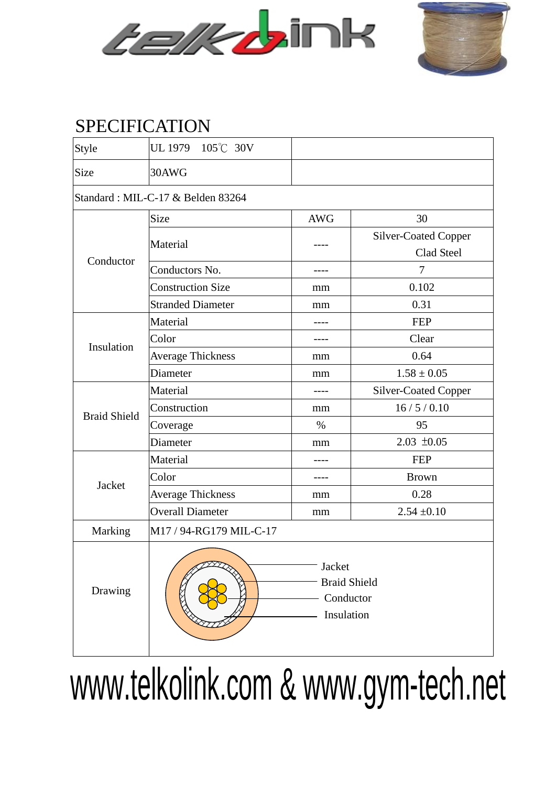



## SPECIFICATION

| Style                             | UL 1979 105°C 30V                                        |            |                      |  |  |  |  |  |  |
|-----------------------------------|----------------------------------------------------------|------------|----------------------|--|--|--|--|--|--|
| Size                              | 30AWG                                                    |            |                      |  |  |  |  |  |  |
| Standard: MIL-C-17 & Belden 83264 |                                                          |            |                      |  |  |  |  |  |  |
| Conductor                         | Size                                                     | <b>AWG</b> | 30                   |  |  |  |  |  |  |
|                                   | Material                                                 |            | Silver-Coated Copper |  |  |  |  |  |  |
|                                   |                                                          |            | Clad Steel           |  |  |  |  |  |  |
|                                   | Conductors No.                                           | ----       | $\overline{7}$       |  |  |  |  |  |  |
|                                   | <b>Construction Size</b>                                 | mm         | 0.102                |  |  |  |  |  |  |
|                                   | <b>Stranded Diameter</b>                                 | mm         | 0.31                 |  |  |  |  |  |  |
| Insulation                        | Material                                                 |            | <b>FEP</b>           |  |  |  |  |  |  |
|                                   | Color                                                    |            | Clear                |  |  |  |  |  |  |
|                                   | <b>Average Thickness</b>                                 | mm         | 0.64                 |  |  |  |  |  |  |
|                                   | Diameter                                                 | mm         | $1.58 \pm 0.05$      |  |  |  |  |  |  |
| <b>Braid Shield</b>               | Material                                                 |            | Silver-Coated Copper |  |  |  |  |  |  |
|                                   | Construction                                             | mm         | 16/5/0.10            |  |  |  |  |  |  |
|                                   | Coverage                                                 | $\%$       | 95                   |  |  |  |  |  |  |
|                                   | Diameter                                                 | mm         | $2.03 \pm 0.05$      |  |  |  |  |  |  |
| Jacket                            | Material                                                 | ----       | <b>FEP</b>           |  |  |  |  |  |  |
|                                   | Color                                                    |            | <b>Brown</b>         |  |  |  |  |  |  |
|                                   | <b>Average Thickness</b>                                 | mm         | 0.28                 |  |  |  |  |  |  |
|                                   | <b>Overall Diameter</b>                                  | mm         | $2.54 \pm 0.10$      |  |  |  |  |  |  |
| Marking                           | M17 / 94-RG179 MIL-C-17                                  |            |                      |  |  |  |  |  |  |
| Drawing                           | Jacket<br><b>Braid Shield</b><br>Conductor<br>Insulation |            |                      |  |  |  |  |  |  |

www.telkolink.com & www.gym-tech.net